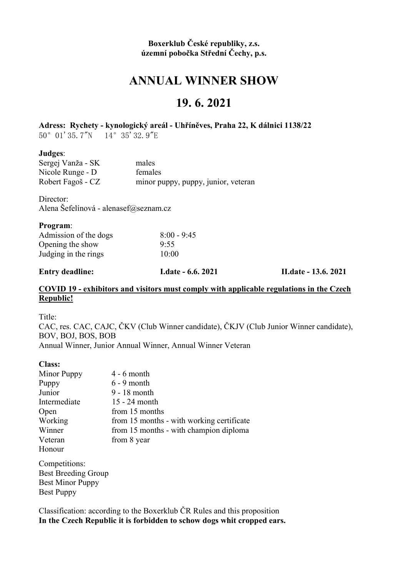#### Boxerklub České republiky, z.s. územní pobočka Střední Čechy, p.s.

# ANNUAL WINNER SHOW

## 19. 6. 2021

#### Adress: Rychety - kynologický areál - Uhříněves, Praha 22, K dálnici 1138/22

50°01'35.7"N 14°35'32.9"E

#### Judges:

| Sergej Vanža - SK | males                               |
|-------------------|-------------------------------------|
| Nicole Runge - D  | females                             |
| Robert Fagoš - CZ | minor puppy, puppy, junior, veteran |

Director:

Alena Šefelínová - alenasef@seznam.cz

| <b>Entry deadline:</b> | <b>I.date - 6.6. 2021</b> | <b>II.date - 13.6. 2021</b> |
|------------------------|---------------------------|-----------------------------|
| Judging in the rings   | 10:00                     |                             |
| Opening the show       | 9:55                      |                             |
| Admission of the dogs  | $8:00 - 9:45$             |                             |
| <b>Program:</b>        |                           |                             |

#### COVID 19 - exhibitors and visitors must comply with applicable regulations in the Czech Republic!

Title:

CAC, res. CAC, CAJC, ČKV (Club Winner candidate), ČKJV (Club Junior Winner candidate), BOV, BOJ, BOS, BOB Annual Winner, Junior Annual Winner, Annual Winner Veteran

#### Class:

| Minor Puppy  | $4 - 6$ month                             |
|--------------|-------------------------------------------|
| Puppy        | $6 - 9$ month                             |
| Junior       | 9 - 18 month                              |
| Intermediate | 15 - 24 month                             |
| Open         | from 15 months                            |
| Working      | from 15 months - with working certificate |
| Winner       | from 15 months - with champion diploma    |
| Veteran      | from 8 year                               |
| Honour       |                                           |

Î Competitions: Best Breeding Group Best Minor Puppy Best Puppy

Classification: according to the Boxerklub ČR Rules and this proposition In the Czech Republic it is forbidden to schow dogs whit cropped ears.